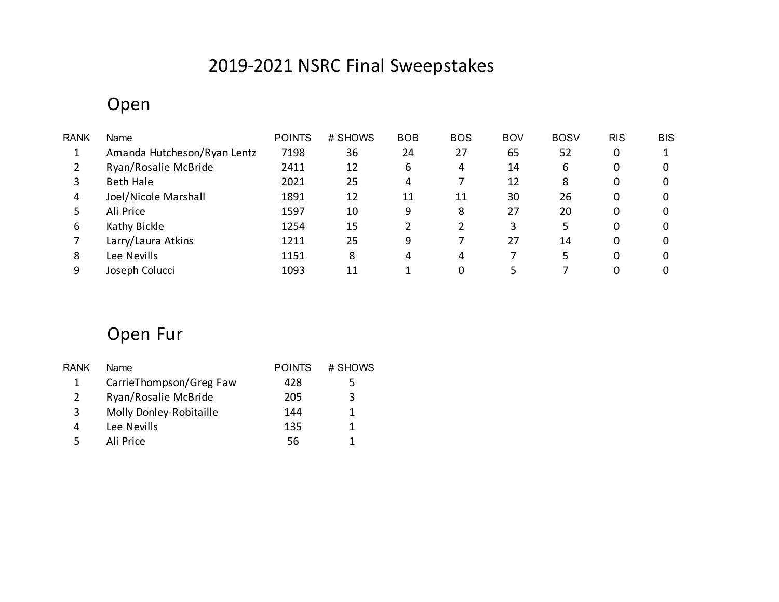# 2019-2021 NSRC Final Sweepstakes

#### Open

| <b>RANK</b> | Name                        | <b>POINTS</b> | # SHOWS | <b>BOB</b> | <b>BOS</b> | <b>BOV</b> | <b>BOSV</b> | <b>RIS</b> | <b>BIS</b> |
|-------------|-----------------------------|---------------|---------|------------|------------|------------|-------------|------------|------------|
|             | Amanda Hutcheson/Ryan Lentz | 7198          | 36      | 24         | 27         | 65         | 52          | 0          |            |
|             | Ryan/Rosalie McBride        | 2411          | 12      | 6          | 4          | 14         | 6           | 0          | 0          |
| 3           | <b>Beth Hale</b>            | 2021          | 25      | 4          |            | 12         | 8           | 0          |            |
| 4           | Joel/Nicole Marshall        | 1891          | 12      | 11         | 11         | 30         | 26          | 0          |            |
| 5           | Ali Price                   | 1597          | 10      | 9          | 8          | 27         | 20          | 0          |            |
| 6           | Kathy Bickle                | 1254          | 15      |            |            |            |             | 0          |            |
|             | Larry/Laura Atkins          | 1211          | 25      | 9          |            | 27         | 14          | 0          |            |
| 8           | Lee Nevills                 | 1151          | 8       | 4          | 4          |            |             | 0          |            |
| 9           | Joseph Colucci              | 1093          | 11      |            |            |            |             |            |            |

# Open Fur

| RANK | Name                    | <b>POINTS</b> | # SHOWS |
|------|-------------------------|---------------|---------|
| 1    | CarrieThompson/Greg Faw | 428           | 5       |
| 2    | Ryan/Rosalie McBride    | 205           | 3       |
| 3    | Molly Donley-Robitaille | 144           |         |
| 4    | Lee Nevills             | 135           |         |
|      | Ali Price               | 56            |         |